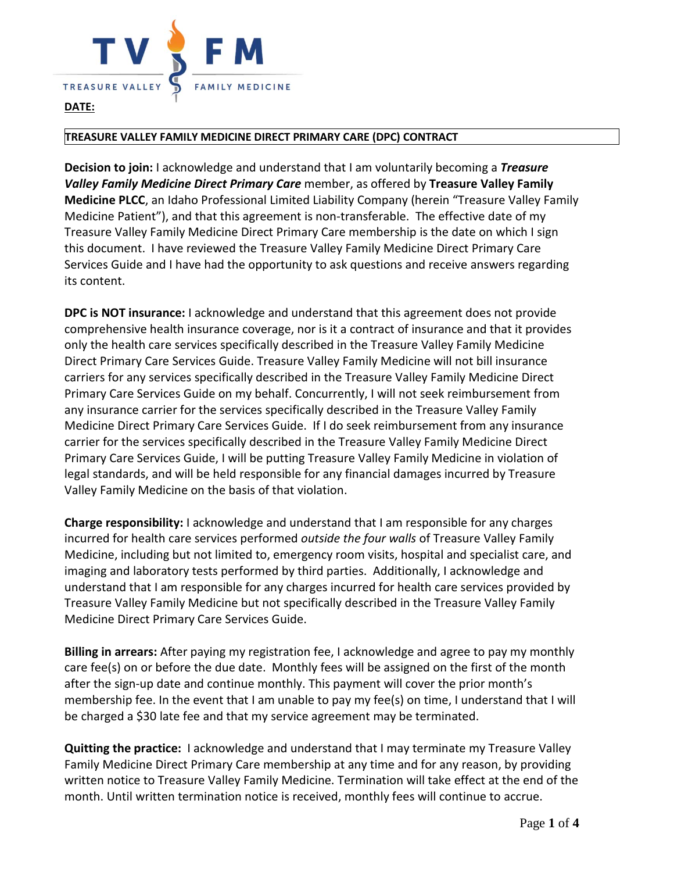

## **DATE:**

## **TREASURE VALLEY FAMILY MEDICINE DIRECT PRIMARY CARE (DPC) CONTRACT**

**Decision to join:** I acknowledge and understand that I am voluntarily becoming a *Treasure Valley Family Medicine Direct Primary Care* member, as offered by **Treasure Valley Family Medicine PLCC**, an Idaho Professional Limited Liability Company (herein "Treasure Valley Family Medicine Patient"), and that this agreement is non-transferable. The effective date of my Treasure Valley Family Medicine Direct Primary Care membership is the date on which I sign this document. I have reviewed the Treasure Valley Family Medicine Direct Primary Care Services Guide and I have had the opportunity to ask questions and receive answers regarding its content.

**DPC is NOT insurance:** I acknowledge and understand that this agreement does not provide comprehensive health insurance coverage, nor is it a contract of insurance and that it provides only the health care services specifically described in the Treasure Valley Family Medicine Direct Primary Care Services Guide. Treasure Valley Family Medicine will not bill insurance carriers for any services specifically described in the Treasure Valley Family Medicine Direct Primary Care Services Guide on my behalf. Concurrently, I will not seek reimbursement from any insurance carrier for the services specifically described in the Treasure Valley Family Medicine Direct Primary Care Services Guide. If I do seek reimbursement from any insurance carrier for the services specifically described in the Treasure Valley Family Medicine Direct Primary Care Services Guide, I will be putting Treasure Valley Family Medicine in violation of legal standards, and will be held responsible for any financial damages incurred by Treasure Valley Family Medicine on the basis of that violation.

**Charge responsibility:** I acknowledge and understand that I am responsible for any charges incurred for health care services performed *outside the four walls* of Treasure Valley Family Medicine, including but not limited to, emergency room visits, hospital and specialist care, and imaging and laboratory tests performed by third parties. Additionally, I acknowledge and understand that I am responsible for any charges incurred for health care services provided by Treasure Valley Family Medicine but not specifically described in the Treasure Valley Family Medicine Direct Primary Care Services Guide.

**Billing in arrears:** After paying my registration fee, I acknowledge and agree to pay my monthly care fee(s) on or before the due date. Monthly fees will be assigned on the first of the month after the sign-up date and continue monthly. This payment will cover the prior month's membership fee. In the event that I am unable to pay my fee(s) on time, I understand that I will be charged a \$30 late fee and that my service agreement may be terminated.

**Quitting the practice:** I acknowledge and understand that I may terminate my Treasure Valley Family Medicine Direct Primary Care membership at any time and for any reason, by providing written notice to Treasure Valley Family Medicine. Termination will take effect at the end of the month. Until written termination notice is received, monthly fees will continue to accrue.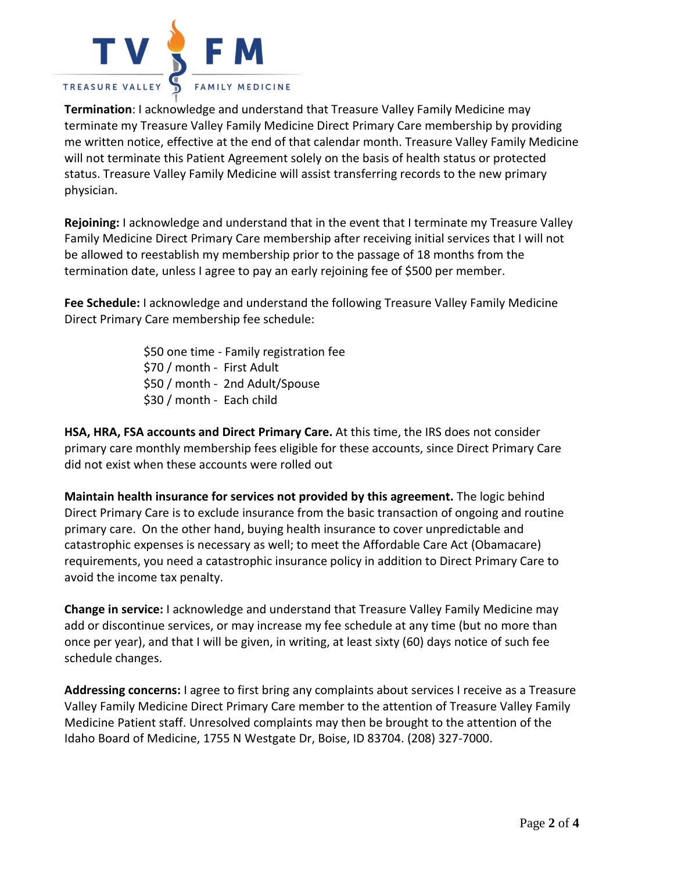

**Termination**: I acknowledge and understand that Treasure Valley Family Medicine may terminate my Treasure Valley Family Medicine Direct Primary Care membership by providing me written notice, effective at the end of that calendar month. Treasure Valley Family Medicine will not terminate this Patient Agreement solely on the basis of health status or protected status. Treasure Valley Family Medicine will assist transferring records to the new primary physician.

**Rejoining:** I acknowledge and understand that in the event that I terminate my Treasure Valley Family Medicine Direct Primary Care membership after receiving initial services that I will not be allowed to reestablish my membership prior to the passage of 18 months from the termination date, unless I agree to pay an early rejoining fee of \$500 per member.

**Fee Schedule:** I acknowledge and understand the following Treasure Valley Family Medicine Direct Primary Care membership fee schedule:

> \$50 one time - Family registration fee \$70 / month - First Adult \$50 / month - 2nd Adult/Spouse \$30 / month - Each child

**HSA, HRA, FSA accounts and Direct Primary Care.** At this time, the IRS does not consider primary care monthly membership fees eligible for these accounts, since Direct Primary Care did not exist when these accounts were rolled out

**Maintain health insurance for services not provided by this agreement.** The logic behind Direct Primary Care is to exclude insurance from the basic transaction of ongoing and routine primary care. On the other hand, buying health insurance to cover unpredictable and catastrophic expenses is necessary as well; to meet the Affordable Care Act (Obamacare) requirements, you need a catastrophic insurance policy in addition to Direct Primary Care to avoid the income tax penalty.

**Change in service:** I acknowledge and understand that Treasure Valley Family Medicine may add or discontinue services, or may increase my fee schedule at any time (but no more than once per year), and that I will be given, in writing, at least sixty (60) days notice of such fee schedule changes.

**Addressing concerns:** I agree to first bring any complaints about services I receive as a Treasure Valley Family Medicine Direct Primary Care member to the attention of Treasure Valley Family Medicine Patient staff. Unresolved complaints may then be brought to the attention of the Idaho Board of Medicine, 1755 N Westgate Dr, Boise, ID 83704. (208) 327-7000.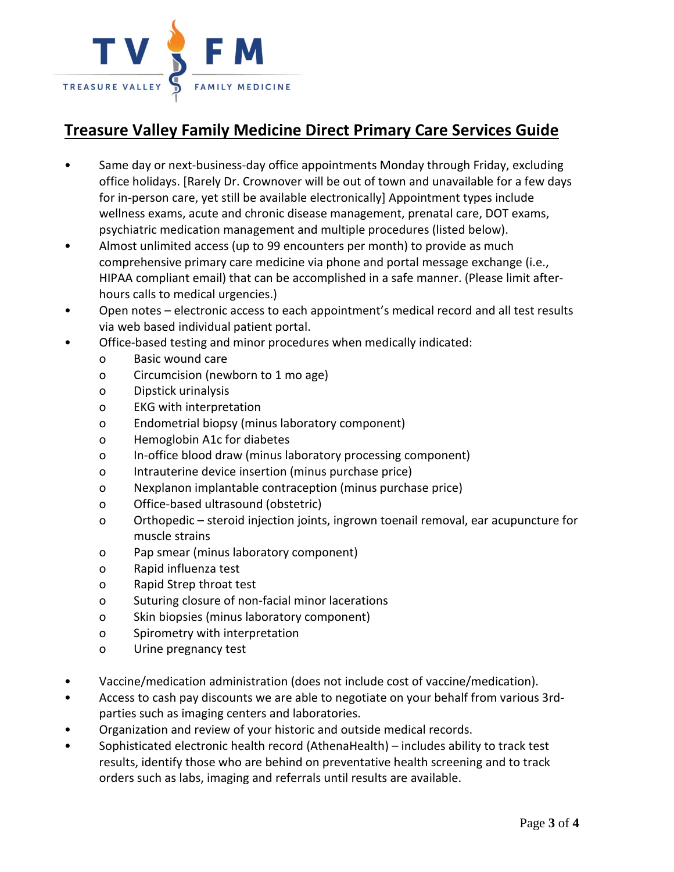

## **Treasure Valley Family Medicine Direct Primary Care Services Guide**

- Same day or next-business-day office appointments Monday through Friday, excluding office holidays. [Rarely Dr. Crownover will be out of town and unavailable for a few days for in-person care, yet still be available electronically] Appointment types include wellness exams, acute and chronic disease management, prenatal care, DOT exams, psychiatric medication management and multiple procedures (listed below).
- Almost unlimited access (up to 99 encounters per month) to provide as much comprehensive primary care medicine via phone and portal message exchange (i.e., HIPAA compliant email) that can be accomplished in a safe manner. (Please limit afterhours calls to medical urgencies.)
- Open notes electronic access to each appointment's medical record and all test results via web based individual patient portal.
- Office-based testing and minor procedures when medically indicated:
	- o Basic wound care
		- o Circumcision (newborn to 1 mo age)
		- o Dipstick urinalysis
		- o EKG with interpretation
		- o Endometrial biopsy (minus laboratory component)
		- o Hemoglobin A1c for diabetes
		- o In-office blood draw (minus laboratory processing component)
		- o Intrauterine device insertion (minus purchase price)
		- o Nexplanon implantable contraception (minus purchase price)
		- o Office-based ultrasound (obstetric)
		- o Orthopedic steroid injection joints, ingrown toenail removal, ear acupuncture for muscle strains
		- o Pap smear (minus laboratory component)
		- o Rapid influenza test
		- o Rapid Strep throat test
		- o Suturing closure of non-facial minor lacerations
		- o Skin biopsies (minus laboratory component)
		- o Spirometry with interpretation
		- o Urine pregnancy test
- Vaccine/medication administration (does not include cost of vaccine/medication).
- Access to cash pay discounts we are able to negotiate on your behalf from various 3rdparties such as imaging centers and laboratories.
- Organization and review of your historic and outside medical records.
- Sophisticated electronic health record (AthenaHealth) includes ability to track test results, identify those who are behind on preventative health screening and to track orders such as labs, imaging and referrals until results are available.